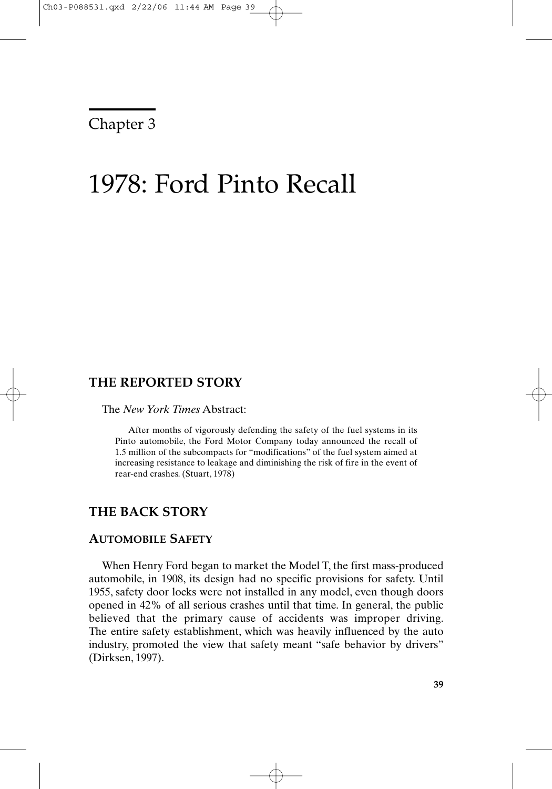Chapter 3

# 1978: Ford Pinto Recall

## **THE REPORTED STORY**

The *New York Times* Abstract:

After months of vigorously defending the safety of the fuel systems in its Pinto automobile, the Ford Motor Company today announced the recall of 1.5 million of the subcompacts for "modifications" of the fuel system aimed at increasing resistance to leakage and diminishing the risk of fire in the event of rear-end crashes. (Stuart, 1978)

# **THE BACK STORY**

#### **AUTOMOBILE SAFETY**

When Henry Ford began to market the Model T, the first mass-produced automobile, in 1908, its design had no specific provisions for safety. Until 1955, safety door locks were not installed in any model, even though doors opened in 42% of all serious crashes until that time. In general, the public believed that the primary cause of accidents was improper driving. The entire safety establishment, which was heavily influenced by the auto industry, promoted the view that safety meant "safe behavior by drivers" (Dirksen, 1997).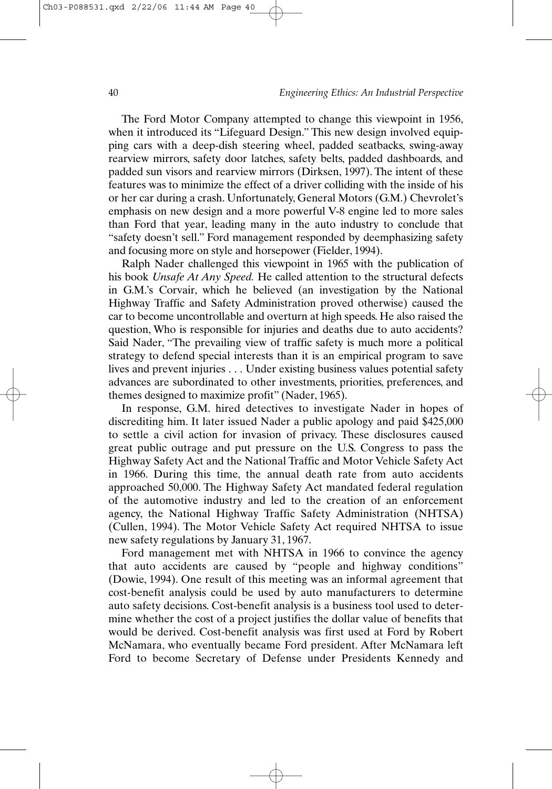The Ford Motor Company attempted to change this viewpoint in 1956, when it introduced its "Lifeguard Design." This new design involved equipping cars with a deep-dish steering wheel, padded seatbacks, swing-away rearview mirrors, safety door latches, safety belts, padded dashboards, and padded sun visors and rearview mirrors (Dirksen, 1997). The intent of these features was to minimize the effect of a driver colliding with the inside of his or her car during a crash. Unfortunately, General Motors (G.M.) Chevrolet's emphasis on new design and a more powerful V-8 engine led to more sales than Ford that year, leading many in the auto industry to conclude that "safety doesn't sell." Ford management responded by deemphasizing safety and focusing more on style and horsepower (Fielder, 1994).

Ralph Nader challenged this viewpoint in 1965 with the publication of his book *Unsafe At Any Speed.* He called attention to the structural defects in G.M.'s Corvair, which he believed (an investigation by the National Highway Traffic and Safety Administration proved otherwise) caused the car to become uncontrollable and overturn at high speeds. He also raised the question, Who is responsible for injuries and deaths due to auto accidents? Said Nader, "The prevailing view of traffic safety is much more a political strategy to defend special interests than it is an empirical program to save lives and prevent injuries . . . Under existing business values potential safety advances are subordinated to other investments, priorities, preferences, and themes designed to maximize profit" (Nader, 1965).

In response, G.M. hired detectives to investigate Nader in hopes of discrediting him. It later issued Nader a public apology and paid \$425,000 to settle a civil action for invasion of privacy. These disclosures caused great public outrage and put pressure on the U.S. Congress to pass the Highway Safety Act and the National Traffic and Motor Vehicle Safety Act in 1966. During this time, the annual death rate from auto accidents approached 50,000. The Highway Safety Act mandated federal regulation of the automotive industry and led to the creation of an enforcement agency, the National Highway Traffic Safety Administration (NHTSA) (Cullen, 1994). The Motor Vehicle Safety Act required NHTSA to issue new safety regulations by January 31, 1967.

Ford management met with NHTSA in 1966 to convince the agency that auto accidents are caused by "people and highway conditions" (Dowie, 1994). One result of this meeting was an informal agreement that cost-benefit analysis could be used by auto manufacturers to determine auto safety decisions. Cost-benefit analysis is a business tool used to determine whether the cost of a project justifies the dollar value of benefits that would be derived. Cost-benefit analysis was first used at Ford by Robert McNamara, who eventually became Ford president. After McNamara left Ford to become Secretary of Defense under Presidents Kennedy and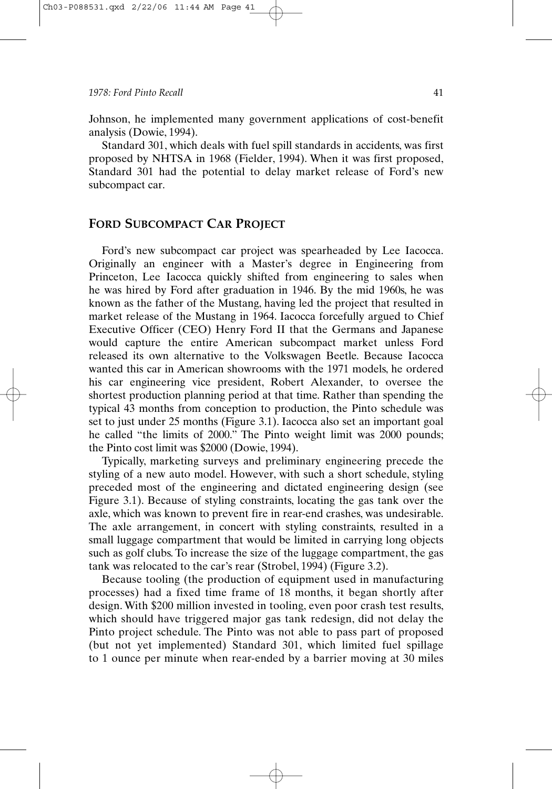Johnson, he implemented many government applications of cost-benefit analysis (Dowie, 1994).

Standard 301, which deals with fuel spill standards in accidents, was first proposed by NHTSA in 1968 (Fielder, 1994). When it was first proposed, Standard 301 had the potential to delay market release of Ford's new subcompact car.

### **FORD SUBCOMPACT CAR PROJECT**

Ford's new subcompact car project was spearheaded by Lee Iacocca. Originally an engineer with a Master's degree in Engineering from Princeton, Lee Iacocca quickly shifted from engineering to sales when he was hired by Ford after graduation in 1946. By the mid 1960s, he was known as the father of the Mustang, having led the project that resulted in market release of the Mustang in 1964. Iacocca forcefully argued to Chief Executive Officer (CEO) Henry Ford II that the Germans and Japanese would capture the entire American subcompact market unless Ford released its own alternative to the Volkswagen Beetle. Because Iacocca wanted this car in American showrooms with the 1971 models, he ordered his car engineering vice president, Robert Alexander, to oversee the shortest production planning period at that time. Rather than spending the typical 43 months from conception to production, the Pinto schedule was set to just under 25 months (Figure 3.1). Iacocca also set an important goal he called "the limits of 2000." The Pinto weight limit was 2000 pounds; the Pinto cost limit was \$2000 (Dowie, 1994).

Typically, marketing surveys and preliminary engineering precede the styling of a new auto model. However, with such a short schedule, styling preceded most of the engineering and dictated engineering design (see Figure 3.1). Because of styling constraints, locating the gas tank over the axle, which was known to prevent fire in rear-end crashes, was undesirable. The axle arrangement, in concert with styling constraints, resulted in a small luggage compartment that would be limited in carrying long objects such as golf clubs. To increase the size of the luggage compartment, the gas tank was relocated to the car's rear (Strobel, 1994) (Figure 3.2).

Because tooling (the production of equipment used in manufacturing processes) had a fixed time frame of 18 months, it began shortly after design. With \$200 million invested in tooling, even poor crash test results, which should have triggered major gas tank redesign, did not delay the Pinto project schedule. The Pinto was not able to pass part of proposed (but not yet implemented) Standard 301, which limited fuel spillage to 1 ounce per minute when rear-ended by a barrier moving at 30 miles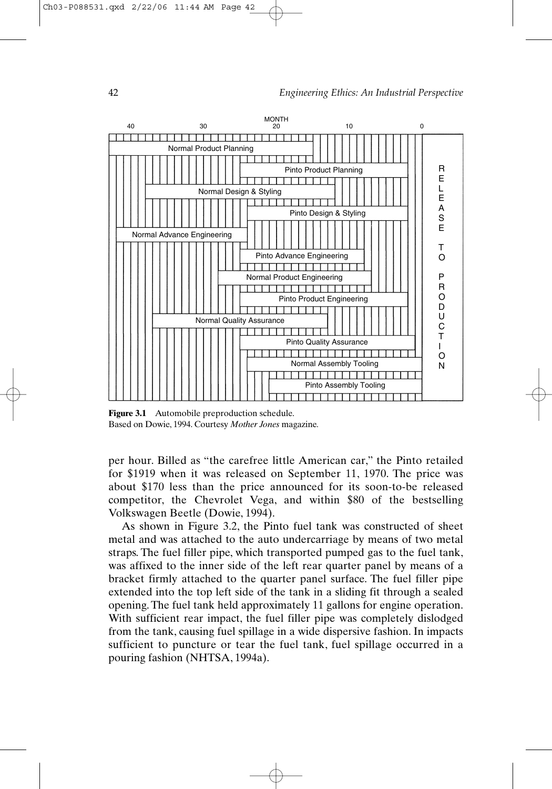

**Figure 3.1** Automobile preproduction schedule. Based on Dowie, 1994. Courtesy *Mother Jones* magazine*.*

per hour. Billed as "the carefree little American car," the Pinto retailed for \$1919 when it was released on September 11, 1970. The price was about \$170 less than the price announced for its soon-to-be released competitor, the Chevrolet Vega, and within \$80 of the bestselling Volkswagen Beetle (Dowie, 1994).

As shown in Figure 3.2, the Pinto fuel tank was constructed of sheet metal and was attached to the auto undercarriage by means of two metal straps. The fuel filler pipe, which transported pumped gas to the fuel tank, was affixed to the inner side of the left rear quarter panel by means of a bracket firmly attached to the quarter panel surface. The fuel filler pipe extended into the top left side of the tank in a sliding fit through a sealed opening. The fuel tank held approximately 11 gallons for engine operation. With sufficient rear impact, the fuel filler pipe was completely dislodged from the tank, causing fuel spillage in a wide dispersive fashion. In impacts sufficient to puncture or tear the fuel tank, fuel spillage occurred in a pouring fashion (NHTSA, 1994a).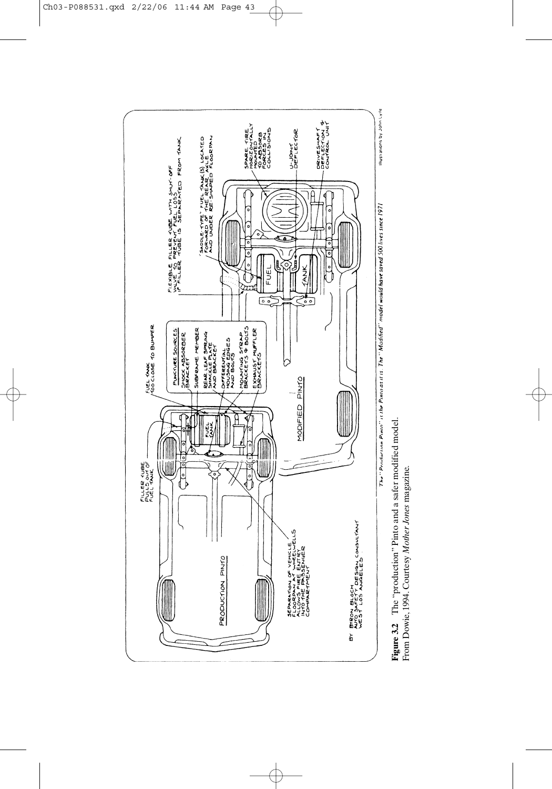

**Figure 3.2** The "production" Pinto and a safer modified model. Figure 3.2 The "production" Pinto and a safer modified model From Dowie, 1994. Courtesy Mother Jones magazine. From Dowie, 1994. Courtesy *Mother Jones* magazine*.*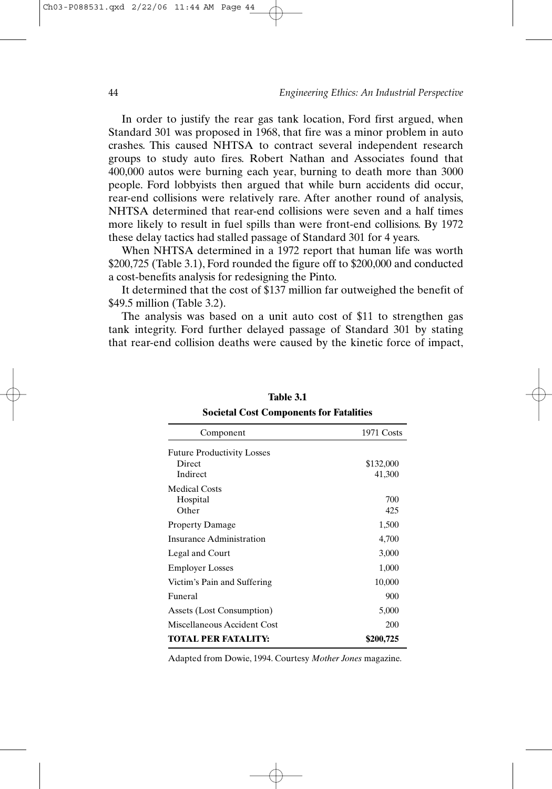In order to justify the rear gas tank location, Ford first argued, when Standard 301 was proposed in 1968, that fire was a minor problem in auto crashes. This caused NHTSA to contract several independent research groups to study auto fires. Robert Nathan and Associates found that 400,000 autos were burning each year, burning to death more than 3000 people. Ford lobbyists then argued that while burn accidents did occur, rear-end collisions were relatively rare. After another round of analysis, NHTSA determined that rear-end collisions were seven and a half times more likely to result in fuel spills than were front-end collisions. By 1972 these delay tactics had stalled passage of Standard 301 for 4 years.

When NHTSA determined in a 1972 report that human life was worth \$200,725 (Table 3.1), Ford rounded the figure off to \$200,000 and conducted a cost-benefits analysis for redesigning the Pinto.

It determined that the cost of \$137 million far outweighed the benefit of \$49.5 million (Table 3.2).

The analysis was based on a unit auto cost of \$11 to strengthen gas tank integrity. Ford further delayed passage of Standard 301 by stating that rear-end collision deaths were caused by the kinetic force of impact,

| Societal Cost Components for Fatamics |            |  |
|---------------------------------------|------------|--|
| Component                             | 1971 Costs |  |
| <b>Future Productivity Losses</b>     |            |  |
| Direct                                | \$132,000  |  |
| Indirect                              | 41,300     |  |
| <b>Medical Costs</b>                  |            |  |
| Hospital                              | 700        |  |
| Other                                 | 425        |  |
| <b>Property Damage</b>                | 1,500      |  |
| Insurance Administration              | 4,700      |  |
| Legal and Court                       | 3,000      |  |
| <b>Employer Losses</b>                | 1,000      |  |
| Victim's Pain and Suffering           | 10,000     |  |
| Funeral                               | 900        |  |
| Assets (Lost Consumption)             | 5,000      |  |
| Miscellaneous Accident Cost           | 200        |  |
| TOTAL PER FATALITY:                   | \$200,725  |  |

**Table 3.1 Societal Cost Components for Fatalities**

Adapted from Dowie, 1994. Courtesy *Mother Jones* magazine*.*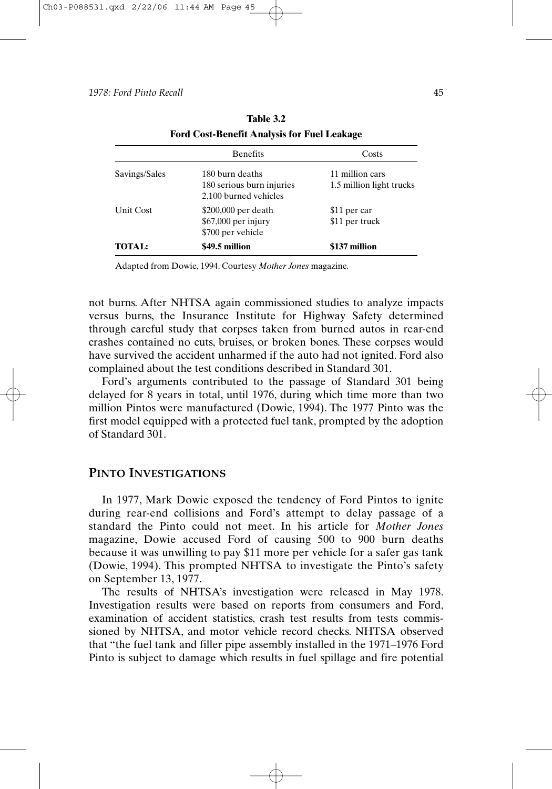|               | <b>Benefits</b>                                                       | Costs                                       |
|---------------|-----------------------------------------------------------------------|---------------------------------------------|
| Savings/Sales | 180 burn deaths<br>180 serious burn injuries<br>2,100 burned vehicles | 11 million cars<br>1.5 million light trucks |
| Unit Cost     | $$200,000$ per death<br>$$67,000$ per injury<br>\$700 per vehicle     | \$11 per car<br>\$11 per truck              |
| <b>TOTAL:</b> | \$49.5 million                                                        | \$137 million                               |

**Table 3.2 Ford Cost-Benefit Analysis for Fuel Leakage**

Adapted from Dowie, 1994. Courtesy *Mother Jones* magazine*.*

not burns. After NHTSA again commissioned studies to analyze impacts versus burns, the Insurance Institute for Highway Safety determined through careful study that corpses taken from burned autos in rear-end crashes contained no cuts, bruises, or broken bones. These corpses would have survived the accident unharmed if the auto had not ignited. Ford also complained about the test conditions described in Standard 301.

Ford's arguments contributed to the passage of Standard 301 being delayed for 8 years in total, until 1976, during which time more than two million Pintos were manufactured (Dowie, 1994). The 1977 Pinto was the first model equipped with a protected fuel tank, prompted by the adoption of Standard 301.

#### **PINTO INVESTIGATIONS**

In 1977, Mark Dowie exposed the tendency of Ford Pintos to ignite during rear-end collisions and Ford's attempt to delay passage of a standard the Pinto could not meet. In his article for *Mother Jones* magazine, Dowie accused Ford of causing 500 to 900 burn deaths because it was unwilling to pay \$11 more per vehicle for a safer gas tank (Dowie, 1994). This prompted NHTSA to investigate the Pinto's safety on September 13, 1977.

The results of NHTSA's investigation were released in May 1978. Investigation results were based on reports from consumers and Ford, examination of accident statistics, crash test results from tests commissioned by NHTSA, and motor vehicle record checks. NHTSA observed that "the fuel tank and filler pipe assembly installed in the 1971–1976 Ford Pinto is subject to damage which results in fuel spillage and fire potential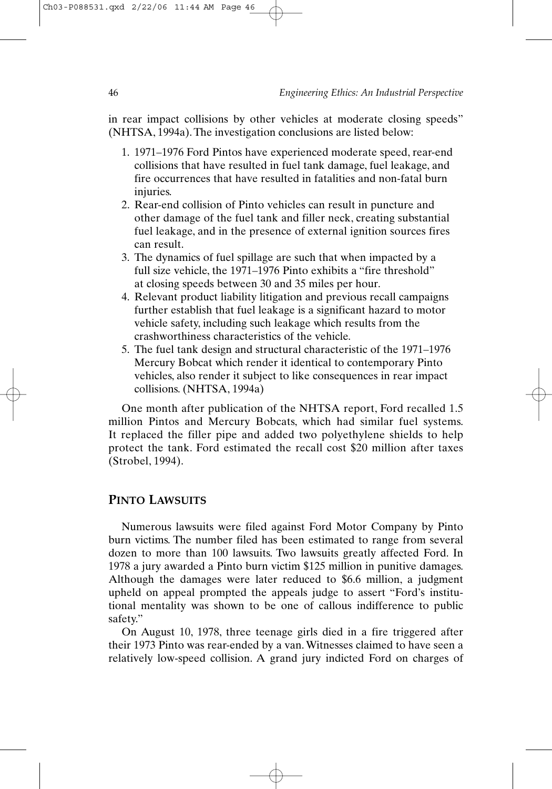in rear impact collisions by other vehicles at moderate closing speeds" (NHTSA, 1994a). The investigation conclusions are listed below:

- 1. 1971–1976 Ford Pintos have experienced moderate speed, rear-end collisions that have resulted in fuel tank damage, fuel leakage, and fire occurrences that have resulted in fatalities and non-fatal burn injuries.
- 2. Rear-end collision of Pinto vehicles can result in puncture and other damage of the fuel tank and filler neck, creating substantial fuel leakage, and in the presence of external ignition sources fires can result.
- 3. The dynamics of fuel spillage are such that when impacted by a full size vehicle, the 1971–1976 Pinto exhibits a "fire threshold" at closing speeds between 30 and 35 miles per hour.
- 4. Relevant product liability litigation and previous recall campaigns further establish that fuel leakage is a significant hazard to motor vehicle safety, including such leakage which results from the crashworthiness characteristics of the vehicle.
- 5. The fuel tank design and structural characteristic of the 1971–1976 Mercury Bobcat which render it identical to contemporary Pinto vehicles, also render it subject to like consequences in rear impact collisions. (NHTSA, 1994a)

One month after publication of the NHTSA report, Ford recalled 1.5 million Pintos and Mercury Bobcats, which had similar fuel systems. It replaced the filler pipe and added two polyethylene shields to help protect the tank. Ford estimated the recall cost \$20 million after taxes (Strobel, 1994).

#### **PINTO LAWSUITS**

Numerous lawsuits were filed against Ford Motor Company by Pinto burn victims. The number filed has been estimated to range from several dozen to more than 100 lawsuits. Two lawsuits greatly affected Ford. In 1978 a jury awarded a Pinto burn victim \$125 million in punitive damages. Although the damages were later reduced to \$6.6 million, a judgment upheld on appeal prompted the appeals judge to assert "Ford's institutional mentality was shown to be one of callous indifference to public safety."

On August 10, 1978, three teenage girls died in a fire triggered after their 1973 Pinto was rear-ended by a van. Witnesses claimed to have seen a relatively low-speed collision. A grand jury indicted Ford on charges of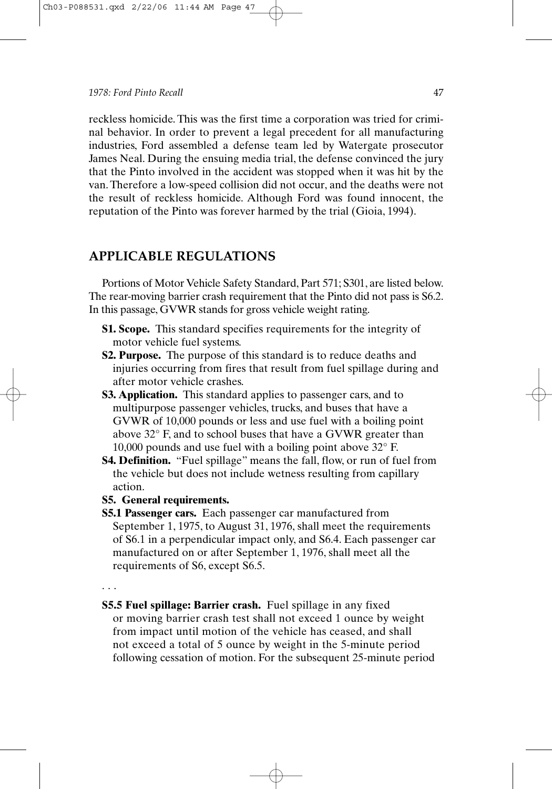reckless homicide. This was the first time a corporation was tried for criminal behavior. In order to prevent a legal precedent for all manufacturing industries, Ford assembled a defense team led by Watergate prosecutor James Neal. During the ensuing media trial, the defense convinced the jury that the Pinto involved in the accident was stopped when it was hit by the van. Therefore a low-speed collision did not occur, and the deaths were not the result of reckless homicide. Although Ford was found innocent, the reputation of the Pinto was forever harmed by the trial (Gioia, 1994).

# **APPLICABLE REGULATIONS**

Portions of Motor Vehicle Safety Standard, Part 571; S301, are listed below. The rear-moving barrier crash requirement that the Pinto did not pass is S6.2. In this passage, GVWR stands for gross vehicle weight rating.

- **S1. Scope.** This standard specifies requirements for the integrity of motor vehicle fuel systems.
- **S2. Purpose.** The purpose of this standard is to reduce deaths and injuries occurring from fires that result from fuel spillage during and after motor vehicle crashes.
- **S3. Application.** This standard applies to passenger cars, and to multipurpose passenger vehicles, trucks, and buses that have a GVWR of 10,000 pounds or less and use fuel with a boiling point above 32° F, and to school buses that have a GVWR greater than 10,000 pounds and use fuel with a boiling point above 32° F.
- **S4. Definition.** "Fuel spillage" means the fall, flow, or run of fuel from the vehicle but does not include wetness resulting from capillary action.
- **S5. General requirements.**
- **S5.1 Passenger cars.** Each passenger car manufactured from September 1, 1975, to August 31, 1976, shall meet the requirements of S6.1 in a perpendicular impact only, and S6.4. Each passenger car manufactured on or after September 1, 1976, shall meet all the requirements of S6, except S6.5.

...

**S5.5 Fuel spillage: Barrier crash.** Fuel spillage in any fixed or moving barrier crash test shall not exceed 1 ounce by weight from impact until motion of the vehicle has ceased, and shall not exceed a total of 5 ounce by weight in the 5-minute period following cessation of motion. For the subsequent 25-minute period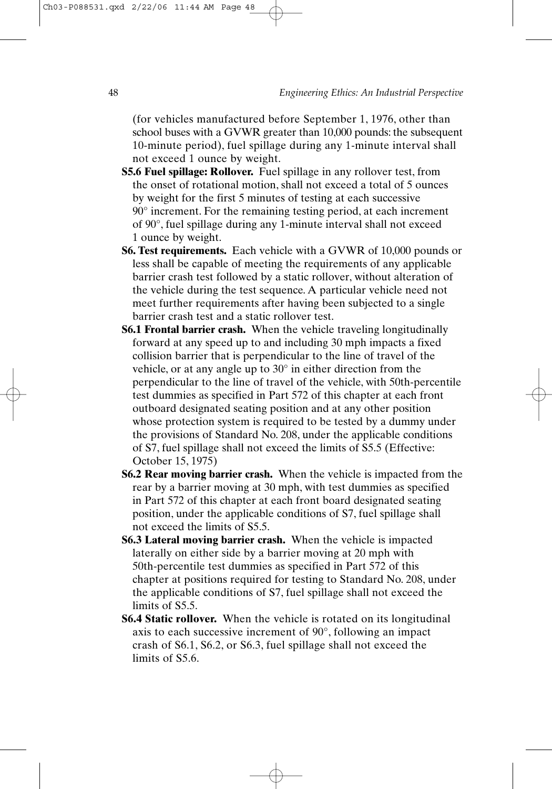(for vehicles manufactured before September 1, 1976, other than school buses with a GVWR greater than 10,000 pounds: the subsequent 10-minute period), fuel spillage during any 1-minute interval shall not exceed 1 ounce by weight.

- **S5.6 Fuel spillage: Rollover.** Fuel spillage in any rollover test, from the onset of rotational motion, shall not exceed a total of 5 ounces by weight for the first 5 minutes of testing at each successive 90° increment. For the remaining testing period, at each increment of 90°, fuel spillage during any 1-minute interval shall not exceed 1 ounce by weight.
- **S6. Test requirements.** Each vehicle with a GVWR of 10,000 pounds or less shall be capable of meeting the requirements of any applicable barrier crash test followed by a static rollover, without alteration of the vehicle during the test sequence. A particular vehicle need not meet further requirements after having been subjected to a single barrier crash test and a static rollover test.
- **S6.1 Frontal barrier crash.** When the vehicle traveling longitudinally forward at any speed up to and including 30 mph impacts a fixed collision barrier that is perpendicular to the line of travel of the vehicle, or at any angle up to 30° in either direction from the perpendicular to the line of travel of the vehicle, with 50th-percentile test dummies as specified in Part 572 of this chapter at each front outboard designated seating position and at any other position whose protection system is required to be tested by a dummy under the provisions of Standard No. 208, under the applicable conditions of S7, fuel spillage shall not exceed the limits of S5.5 (Effective: October 15, 1975)
- **S6.2 Rear moving barrier crash.** When the vehicle is impacted from the rear by a barrier moving at 30 mph, with test dummies as specified in Part 572 of this chapter at each front board designated seating position, under the applicable conditions of S7, fuel spillage shall not exceed the limits of S5.5.
- **S6.3 Lateral moving barrier crash.** When the vehicle is impacted laterally on either side by a barrier moving at 20 mph with 50th-percentile test dummies as specified in Part 572 of this chapter at positions required for testing to Standard No. 208, under the applicable conditions of S7, fuel spillage shall not exceed the limits of S5.5.
- **S6.4 Static rollover.** When the vehicle is rotated on its longitudinal axis to each successive increment of 90°, following an impact crash of S6.1, S6.2, or S6.3, fuel spillage shall not exceed the limits of S5.6.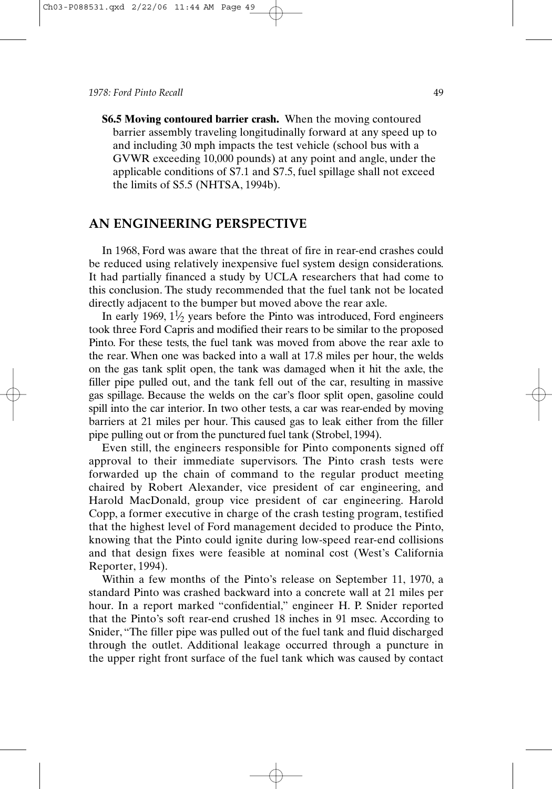**S6.5 Moving contoured barrier crash.** When the moving contoured barrier assembly traveling longitudinally forward at any speed up to and including 30 mph impacts the test vehicle (school bus with a GVWR exceeding 10,000 pounds) at any point and angle, under the applicable conditions of S7.1 and S7.5, fuel spillage shall not exceed the limits of S5.5 (NHTSA, 1994b).

## **AN ENGINEERING PERSPECTIVE**

In 1968, Ford was aware that the threat of fire in rear-end crashes could be reduced using relatively inexpensive fuel system design considerations. It had partially financed a study by UCLA researchers that had come to this conclusion. The study recommended that the fuel tank not be located directly adjacent to the bumper but moved above the rear axle.

In early 1969,  $1\frac{1}{2}$  years before the Pinto was introduced, Ford engineers took three Ford Capris and modified their rears to be similar to the proposed Pinto. For these tests, the fuel tank was moved from above the rear axle to the rear. When one was backed into a wall at 17.8 miles per hour, the welds on the gas tank split open, the tank was damaged when it hit the axle, the filler pipe pulled out, and the tank fell out of the car, resulting in massive gas spillage. Because the welds on the car's floor split open, gasoline could spill into the car interior. In two other tests, a car was rear-ended by moving barriers at 21 miles per hour. This caused gas to leak either from the filler pipe pulling out or from the punctured fuel tank (Strobel, 1994).

Even still, the engineers responsible for Pinto components signed off approval to their immediate supervisors. The Pinto crash tests were forwarded up the chain of command to the regular product meeting chaired by Robert Alexander, vice president of car engineering, and Harold MacDonald, group vice president of car engineering. Harold Copp, a former executive in charge of the crash testing program, testified that the highest level of Ford management decided to produce the Pinto, knowing that the Pinto could ignite during low-speed rear-end collisions and that design fixes were feasible at nominal cost (West's California Reporter, 1994).

Within a few months of the Pinto's release on September 11, 1970, a standard Pinto was crashed backward into a concrete wall at 21 miles per hour. In a report marked "confidential," engineer H. P. Snider reported that the Pinto's soft rear-end crushed 18 inches in 91 msec. According to Snider, "The filler pipe was pulled out of the fuel tank and fluid discharged through the outlet. Additional leakage occurred through a puncture in the upper right front surface of the fuel tank which was caused by contact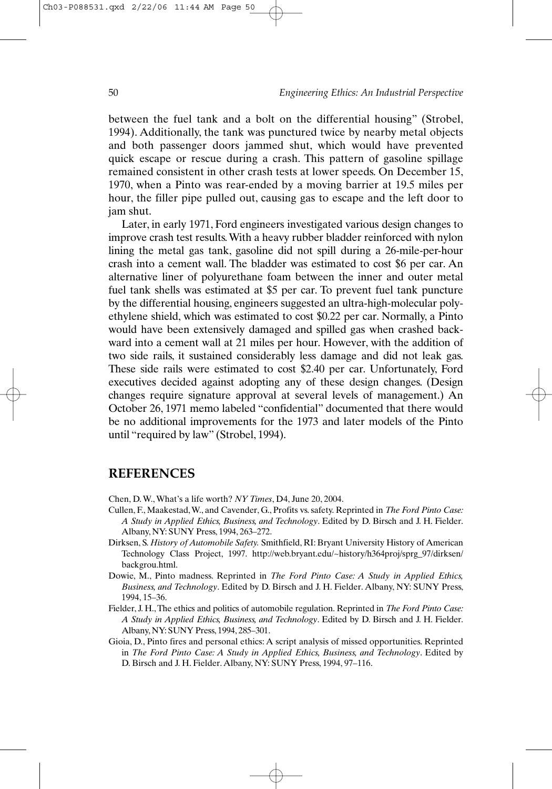between the fuel tank and a bolt on the differential housing" (Strobel, 1994). Additionally, the tank was punctured twice by nearby metal objects and both passenger doors jammed shut, which would have prevented quick escape or rescue during a crash. This pattern of gasoline spillage remained consistent in other crash tests at lower speeds. On December 15, 1970, when a Pinto was rear-ended by a moving barrier at 19.5 miles per hour, the filler pipe pulled out, causing gas to escape and the left door to jam shut.

Later, in early 1971, Ford engineers investigated various design changes to improve crash test results.With a heavy rubber bladder reinforced with nylon lining the metal gas tank, gasoline did not spill during a 26-mile-per-hour crash into a cement wall. The bladder was estimated to cost \$6 per car. An alternative liner of polyurethane foam between the inner and outer metal fuel tank shells was estimated at \$5 per car. To prevent fuel tank puncture by the differential housing, engineers suggested an ultra-high-molecular polyethylene shield, which was estimated to cost \$0.22 per car. Normally, a Pinto would have been extensively damaged and spilled gas when crashed backward into a cement wall at 21 miles per hour. However, with the addition of two side rails, it sustained considerably less damage and did not leak gas. These side rails were estimated to cost \$2.40 per car. Unfortunately, Ford executives decided against adopting any of these design changes. (Design changes require signature approval at several levels of management.) An October 26, 1971 memo labeled "confidential" documented that there would be no additional improvements for the 1973 and later models of the Pinto until "required by law" (Strobel, 1994).

# **REFERENCES**

Chen, D. W., What's a life worth? *NY Times*, D4, June 20, 2004.

- Cullen, F., Maakestad,W., and Cavender, G., Profits vs. safety. Reprinted in *The Ford Pinto Case: A Study in Applied Ethics, Business, and Technology*. Edited by D. Birsch and J. H. Fielder. Albany, NY: SUNY Press, 1994, 263–272.
- Dirksen, S. *History of Automobile Safety.* Smithfield, RI: Bryant University History of American Technology Class Project, 1997. http://web.bryant.edu/~history/h364proj/sprg\_97/dirksen/ backgrou.html.
- Dowie, M., Pinto madness. Reprinted in *The Ford Pinto Case: A Study in Applied Ethics, Business, and Technology*. Edited by D. Birsch and J. H. Fielder. Albany, NY: SUNY Press, 1994, 15–36.
- Fielder, J. H.,The ethics and politics of automobile regulation. Reprinted in *The Ford Pinto Case: A Study in Applied Ethics, Business, and Technology*. Edited by D. Birsch and J. H. Fielder. Albany, NY: SUNY Press, 1994, 285–301.
- Gioia, D., Pinto fires and personal ethics: A script analysis of missed opportunities. Reprinted in *The Ford Pinto Case: A Study in Applied Ethics, Business, and Technology*. Edited by D. Birsch and J. H. Fielder. Albany, NY: SUNY Press, 1994, 97–116.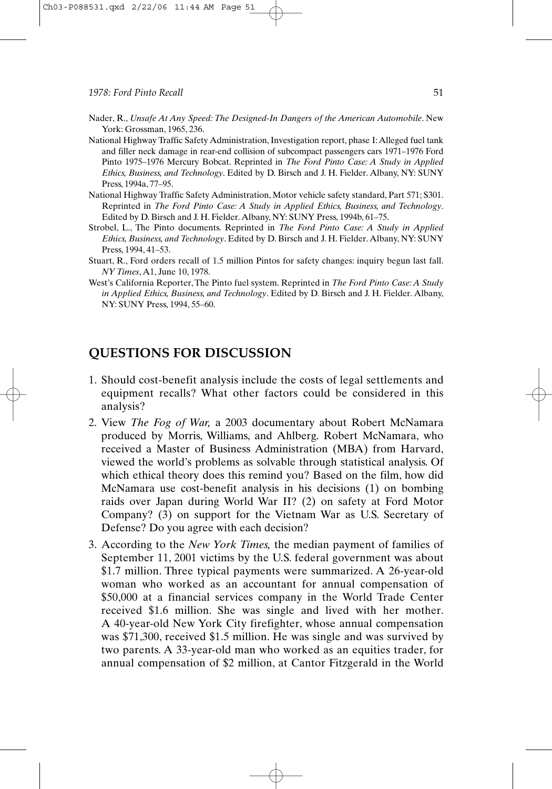- Nader, R., *Unsafe At Any Speed: The Designed-In Dangers of the American Automobile*. New York: Grossman, 1965, 236.
- National Highway Traffic Safety Administration, Investigation report, phase I:Alleged fuel tank and filler neck damage in rear-end collision of subcompact passengers cars 1971–1976 Ford Pinto 1975–1976 Mercury Bobcat. Reprinted in *The Ford Pinto Case: A Study in Applied Ethics, Business, and Technology*. Edited by D. Birsch and J. H. Fielder. Albany, NY: SUNY Press, 1994a, 77–95.
- National Highway Traffic Safety Administration, Motor vehicle safety standard, Part 571; S301. Reprinted in *The Ford Pinto Case: A Study in Applied Ethics, Business, and Technology*. Edited by D. Birsch and J. H. Fielder. Albany, NY: SUNY Press, 1994b, 61–75.
- Strobel, L., The Pinto documents. Reprinted in *The Ford Pinto Case: A Study in Applied Ethics, Business, and Technology*. Edited by D. Birsch and J. H. Fielder. Albany, NY: SUNY Press, 1994, 41–53.
- Stuart, R., Ford orders recall of 1.5 million Pintos for safety changes: inquiry begun last fall. *NY Times*, A1, June 10, 1978.
- West's California Reporter, The Pinto fuel system. Reprinted in *The Ford Pinto Case: A Study in Applied Ethics, Business, and Technology*. Edited by D. Birsch and J. H. Fielder. Albany, NY: SUNY Press, 1994, 55–60.

## **QUESTIONS FOR DISCUSSION**

- 1. Should cost-benefit analysis include the costs of legal settlements and equipment recalls? What other factors could be considered in this analysis?
- 2. View *The Fog of War,* a 2003 documentary about Robert McNamara produced by Morris, Williams, and Ahlberg. Robert McNamara, who received a Master of Business Administration (MBA) from Harvard, viewed the world's problems as solvable through statistical analysis. Of which ethical theory does this remind you? Based on the film, how did McNamara use cost-benefit analysis in his decisions (1) on bombing raids over Japan during World War II? (2) on safety at Ford Motor Company? (3) on support for the Vietnam War as U.S. Secretary of Defense? Do you agree with each decision?
- 3. According to the *New York Times,* the median payment of families of September 11, 2001 victims by the U.S. federal government was about \$1.7 million. Three typical payments were summarized. A 26-year-old woman who worked as an accountant for annual compensation of \$50,000 at a financial services company in the World Trade Center received \$1.6 million. She was single and lived with her mother. A 40-year-old New York City firefighter, whose annual compensation was \$71,300, received \$1.5 million. He was single and was survived by two parents. A 33-year-old man who worked as an equities trader, for annual compensation of \$2 million, at Cantor Fitzgerald in the World